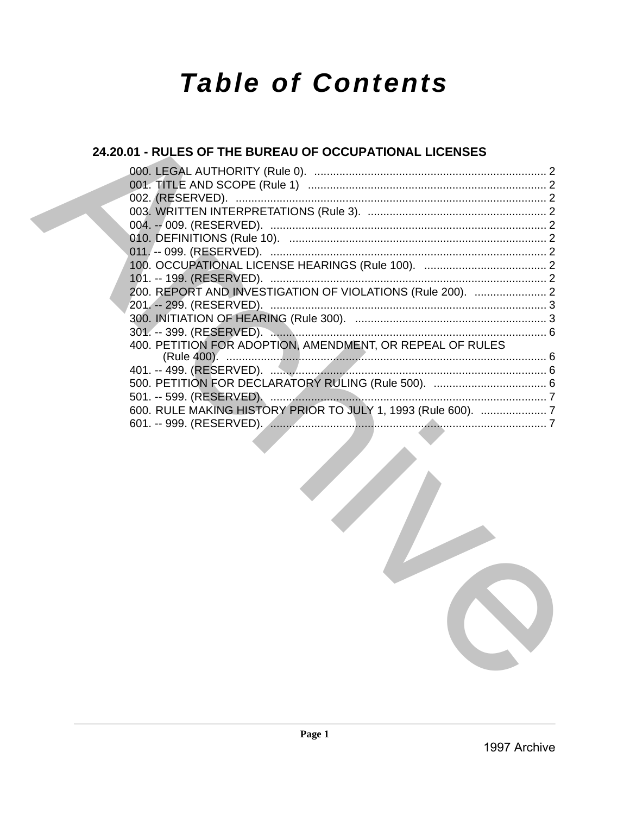# **Table of Contents**

# 24.20.01 - RULES OF THE BUREAU OF OCCUPATIONAL LICENSES

| 200. REPORT AND INVESTIGATION OF VIOLATIONS (Rule 200).  2    |  |
|---------------------------------------------------------------|--|
|                                                               |  |
|                                                               |  |
|                                                               |  |
| 400. PETITION FOR ADOPTION, AMENDMENT, OR REPEAL OF RULES     |  |
|                                                               |  |
|                                                               |  |
|                                                               |  |
|                                                               |  |
| 600. RULE MAKING HISTORY PRIOR TO JULY 1, 1993 (Rule 600).  7 |  |
|                                                               |  |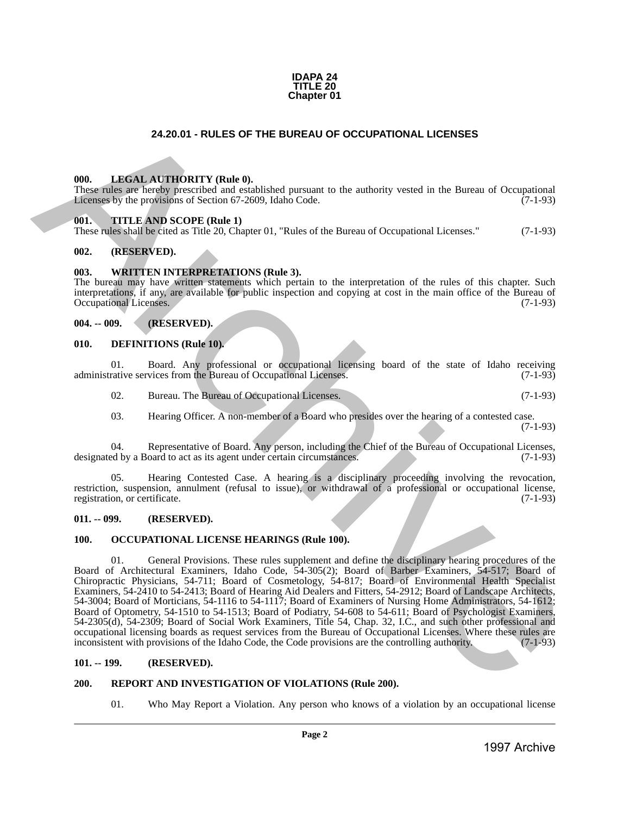

# **24.20.01 - RULES OF THE BUREAU OF OCCUPATIONAL LICENSES**

#### <span id="page-1-1"></span>**000. LEGAL AUTHORITY (Rule 0).**

These rules are hereby prescribed and established pursuant to the authority vested in the Bureau of Occupational Licenses by the provisions of Section 67-2609, Idaho Code. (7-1-93)

#### <span id="page-1-2"></span>**001. TITLE AND SCOPE (Rule 1)**

These rules shall be cited as Title 20, Chapter 01, "Rules of the Bureau of Occupational Licenses." (7-1-93)

#### <span id="page-1-3"></span>**002. (RESERVED).**

#### <span id="page-1-4"></span>**003. WRITTEN INTERPRETATIONS (Rule 3).**

The bureau may have written statements which pertain to the interpretation of the rules of this chapter. Such interpretations, if any, are available for public inspection and copying at cost in the main office of the Bureau of Occupational Licenses. (7-1-93)

# <span id="page-1-5"></span>**004. -- 009. (RESERVED).**

#### <span id="page-1-6"></span>**010. DEFINITIONS (Rule 10).**

01. Board. Any professional or occupational licensing board of the state of Idaho receiving rative services from the Bureau of Occupational Licenses. (7-1-93) administrative services from the Bureau of Occupational Licenses.

02. Bureau. The Bureau of Occupational Licenses. (7-1-93)

03. Hearing Officer. A non-member of a Board who presides over the hearing of a contested case. (7-1-93)

04. Representative of Board. Any person, including the Chief of the Bureau of Occupational Licenses,<br>ed by a Board to act as its agent under certain circumstances. (7-1-93) designated by a Board to act as its agent under certain circumstances.

05. Hearing Contested Case. A hearing is a disciplinary proceeding involving the revocation, restriction, suspension, annulment (refusal to issue), or withdrawal of a professional or occupational license, registration, or certificate. (7-1-93) registration, or certificate.

#### <span id="page-1-7"></span>**011. -- 099. (RESERVED).**

#### <span id="page-1-8"></span>**100. OCCUPATIONAL LICENSE HEARINGS (Rule 100).**

<span id="page-1-0"></span>01. General Provisions. These rules supplement and define the disciplinary hearing procedures of the Board of Architectural Examiners, Idaho Code, 54-305(2); Board of Barber Examiners, 54-517; Board of Chiropractic Physicians, 54-711; Board of Cosmetology, 54-817; Board of Environmental Health Specialist Examiners, 54-2410 to 54-2413; Board of Hearing Aid Dealers and Fitters, 54-2912; Board of Landscape Architects, 54-3004; Board of Morticians, 54-1116 to 54-1117; Board of Examiners of Nursing Home Administrators, 54-1612; Board of Optometry, 54-1510 to 54-1513; Board of Podiatry, 54-608 to 54-611; Board of Psychologist Examiners, 54-2305(d), 54-2309; Board of Social Work Examiners, Title 54, Chap. 32, I.C., and such other professional and occupational licensing boards as request services from the Bureau of Occupational Licenses. Where these rules are inconsistent with provisions of the Idaho Code, the Code provisions are the controlling authority. (7-1-93) **24.20.01 - RUES OF THE BUREAU OF OCCUPATIONAL LICENSES**<br>
1998. **LHKSI**<sub>E</sub> AT **THORY** (Red. 0), since the signal of the malardix yested in the Bureau of Occupational<br>
European archive Archive Archive Archive Archive Archi

#### <span id="page-1-9"></span>**101. -- 199. (RESERVED).**

# <span id="page-1-10"></span>**200. REPORT AND INVESTIGATION OF VIOLATIONS (Rule 200).**

01. Who May Report a Violation. Any person who knows of a violation by an occupational license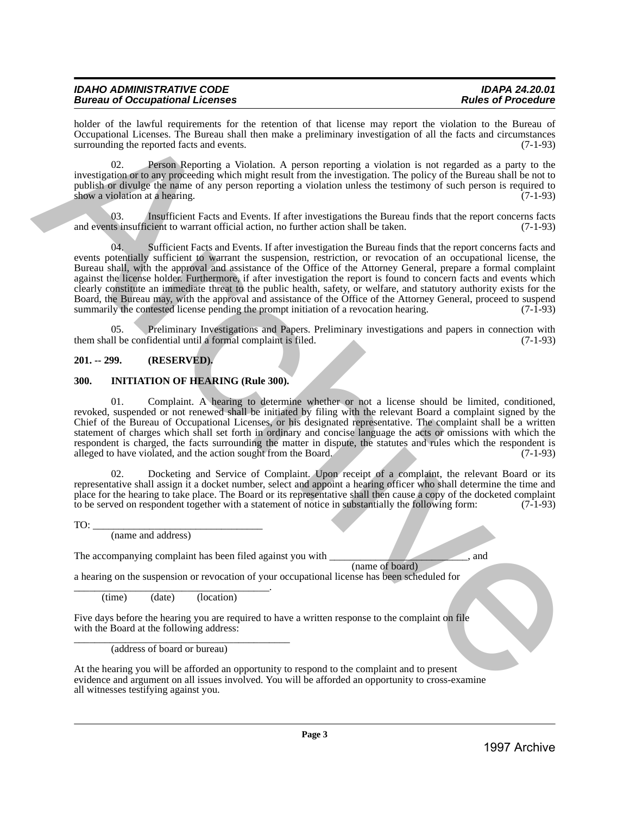| <b>IDAHO ADMINISTRATIVE CODE</b>       | <b>IDAPA 24.20.01</b>     |
|----------------------------------------|---------------------------|
| <b>Bureau of Occupational Licenses</b> | <b>Rules of Procedure</b> |

holder of the lawful requirements for the retention of that license may report the violation to the Bureau of Occupational Licenses. The Bureau shall then make a preliminary investigation of all the facts and circumstances surrounding the reported facts and events. (7-1-93)

02. Person Reporting a Violation. A person reporting a violation is not regarded as a party to the investigation or to any proceeding which might result from the investigation. The policy of the Bureau shall be not to publish or divulge the name of any person reporting a violation unless the testimony of such person is required to show a violation at a hearing.  $(7-1-93)$ 

03. Insufficient Facts and Events. If after investigations the Bureau finds that the report concerns facts and events insufficient to warrant official action, no further action shall be taken. (7-1-93)

04. Sufficient Facts and Events. If after investigation the Bureau finds that the report concerns facts and events potentially sufficient to warrant the suspension, restriction, or revocation of an occupational license, the Bureau shall, with the approval and assistance of the Office of the Attorney General, prepare a formal complaint against the license holder. Furthermore, if after investigation the report is found to concern facts and events which clearly constitute an immediate threat to the public health, safety, or welfare, and statutory authority exists for the Board, the Bureau may, with the approval and assistance of the Office of the Attorney General, proceed to suspend summarily the contested license pending the prompt initiation of a revocation hearing.  $(7-1-93)$ Leader of the law of the procedure of the Olivein of the Renos may space the studients of the China is the content<br>of the study of the study of the study of the study of the study of the study of the study of the study of

05. Preliminary Investigations and Papers. Preliminary investigations and papers in connection with <br>1 be confidential until a formal complaint is filed. (7-1-93) them shall be confidential until a formal complaint is filed.

# <span id="page-2-0"></span>**201. -- 299. (RESERVED).**

# <span id="page-2-1"></span>**300. INITIATION OF HEARING (Rule 300).**

01. Complaint. A hearing to determine whether or not a license should be limited, conditioned, revoked, suspended or not renewed shall be initiated by filing with the relevant Board a complaint signed by the Chief of the Bureau of Occupational Licenses, or his designated representative. The complaint shall be a written statement of charges which shall set forth in ordinary and concise language the acts or omissions with which the respondent is charged, the facts surrounding the matter in dispute, the statutes and rules which the respondent is alleged to have violated, and the action sought from the Board. (7-1-93)

02. Docketing and Service of Complaint. Upon receipt of a complaint, the relevant Board or its representative shall assign it a docket number, select and appoint a hearing officer who shall determine the time and place for the hearing to take place. The Board or its representative shall then cause a copy of the docketed complaint to be served on respondent together with a statement of notice in substantially the following form: (7to be served on respondent together with a statement of notice in substantially the following form:

 $TO:$ 

(name and address)

The accompanying complaint has been filed against you with  $\qquad \qquad$ , and

(name of board)

a hearing on the suspension or revocation of your occupational license has been scheduled for

\_\_\_\_\_\_\_\_\_\_\_\_\_\_\_\_\_\_\_\_\_\_\_\_\_\_\_\_\_\_\_\_\_\_\_\_\_\_. (time) (date) (location)

Five days before the hearing you are required to have a written response to the complaint on file with the Board at the following address:

\_\_\_\_\_\_\_\_\_\_\_\_\_\_\_\_\_\_\_\_\_\_\_\_\_\_\_\_\_\_\_\_\_\_\_\_\_\_\_\_\_\_ (address of board or bureau)

At the hearing you will be afforded an opportunity to respond to the complaint and to present evidence and argument on all issues involved. You will be afforded an opportunity to cross-examine all witnesses testifying against you.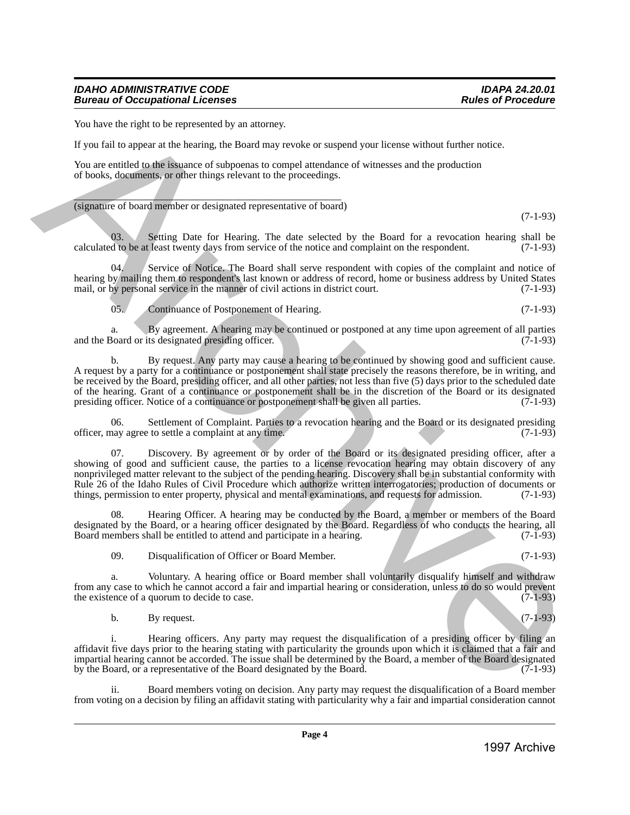# *IDAHO ADMINISTRATIVE CODE IDAPA 24.20.01* **Bureau of Occupational Licenses**

You have the right to be represented by an attorney.

If you fail to appear at the hearing, the Board may revoke or suspend your license without further notice.

You are entitled to the issuance of subpoenas to compel attendance of witnesses and the production of books, documents, or other things relevant to the proceedings.

 $\overline{\phantom{a}}$  ,  $\overline{\phantom{a}}$  ,  $\overline{\phantom{a}}$  ,  $\overline{\phantom{a}}$  ,  $\overline{\phantom{a}}$  ,  $\overline{\phantom{a}}$  ,  $\overline{\phantom{a}}$  ,  $\overline{\phantom{a}}$  ,  $\overline{\phantom{a}}$  ,  $\overline{\phantom{a}}$  ,  $\overline{\phantom{a}}$  ,  $\overline{\phantom{a}}$  ,  $\overline{\phantom{a}}$  ,  $\overline{\phantom{a}}$  ,  $\overline{\phantom{a}}$  ,  $\overline{\phantom{a}}$ (signature of board member or designated representative of board)

(7-1-93)

03. Setting Date for Hearing. The date selected by the Board for a revocation hearing shall be d to be at least twenty days from service of the notice and complaint on the respondent.  $(7-1-93)$ calculated to be at least twenty days from service of the notice and complaint on the respondent.

04. Service of Notice. The Board shall serve respondent with copies of the complaint and notice of hearing by mailing them to respondent's last known or address of record, home or business address by United States mail, or by personal service in the manner of civil actions in district court. (7-1-93) mail, or by personal service in the manner of civil actions in district court.

05. Continuance of Postponement of Hearing. (7-1-93)

a. By agreement. A hearing may be continued or postponed at any time upon agreement of all parties<br>Board or its designated presiding officer. (7-1-93) and the Board or its designated presiding officer.

b. By request. Any party may cause a hearing to be continued by showing good and sufficient cause. A request by a party for a continuance or postponement shall state precisely the reasons therefore, be in writing, and be received by the Board, presiding officer, and all other parties, not less than five (5) days prior to the scheduled date of the hearing. Grant of a continuance or postponement shall be in the discretion of the Board or its designated presiding officer. Notice of a continuance or postponement shall be given all parties. (7-1-93) presiding officer. Notice of a continuance or postponement shall be given all parties.

06. Settlement of Complaint. Parties to a revocation hearing and the Board or its designated presiding have agree to settle a complaint at any time. officer, may agree to settle a complaint at any time.

Discovery. By agreement or by order of the Board or its designated presiding officer, after a showing of good and sufficient cause, the parties to a license revocation hearing may obtain discovery of any nonprivileged matter relevant to the subject of the pending hearing. Discovery shall be in substantial conformity with Rule 26 of the Idaho Rules of Civil Procedure which authorize written interrogatories; production of documents or things, permission to enter property, physical and mental examinations, and requests for admission. (7-1-93) Now the right to be represented by each method by a statemy of the right of the right of the right of the right of the right of the right of the right of the right of the right of the right of the right of the right of th

Hearing Officer. A hearing may be conducted by the Board, a member or members of the Board designated by the Board, or a hearing officer designated by the Board. Regardless of who conducts the hearing, all<br>Board members shall be entitled to attend and participate in a hearing. Board members shall be entitled to attend and participate in a hearing.

09. Disqualification of Officer or Board Member. (7-1-93)

a. Voluntary. A hearing office or Board member shall voluntarily disqualify himself and withdraw from any case to which he cannot accord a fair and impartial hearing or consideration, unless to do so would prevent the existence of a quorum to decide to case. the existence of a quorum to decide to case.

b. By request.  $(7-1-93)$ 

i. Hearing officers. Any party may request the disqualification of a presiding officer by filing an affidavit five days prior to the hearing stating with particularity the grounds upon which it is claimed that a fair and impartial hearing cannot be accorded. The issue shall be determined by the Board, a member of the Board designated by the Board, or a representative of the Board designated by the Board.

Board members voting on decision. Any party may request the disqualification of a Board member from voting on a decision by filing an affidavit stating with particularity why a fair and impartial consideration cannot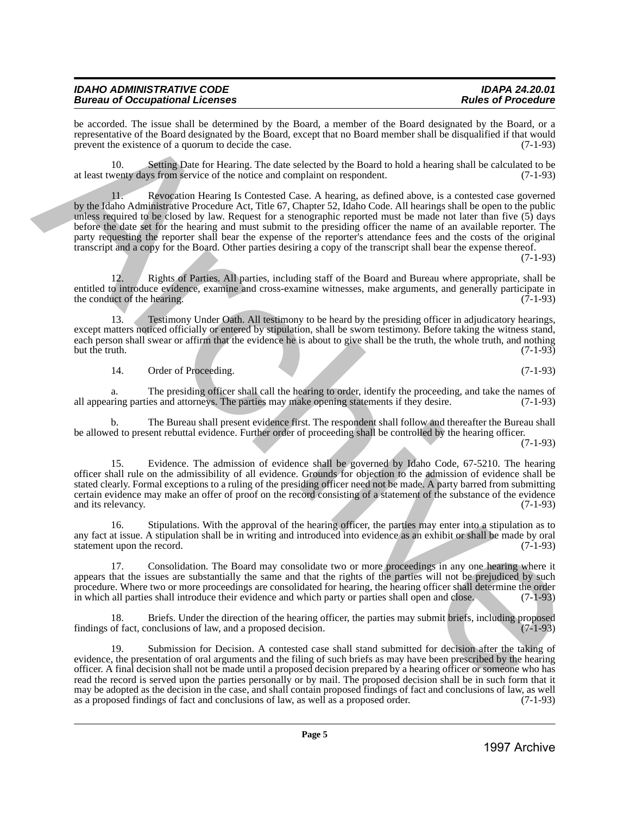| <b>IDAHO ADMINISTRATIVE CODE</b>       | <b>IDAPA 24.20.01</b>     |
|----------------------------------------|---------------------------|
| <b>Bureau of Occupational Licenses</b> | <b>Rules of Procedure</b> |

be accorded. The issue shall be determined by the Board, a member of the Board designated by the Board, or a representative of the Board designated by the Board, except that no Board member shall be disqualified if that would prevent the existence of a quorum to decide the case. (7-1-93)

10. Setting Date for Hearing. The date selected by the Board to hold a hearing shall be calculated to be at least twenty days from service of the notice and complaint on respondent. (7-1-93)

11. Revocation Hearing Is Contested Case. A hearing, as defined above, is a contested case governed by the Idaho Administrative Procedure Act, Title 67, Chapter 52, Idaho Code. All hearings shall be open to the public unless required to be closed by law. Request for a stenographic reported must be made not later than five (5) days before the date set for the hearing and must submit to the presiding officer the name of an available reporter. The party requesting the reporter shall bear the expense of the reporter's attendance fees and the costs of the original transcript and a copy for the Board. Other parties desiring a copy of the transcript shall bear the expense thereof.

(7-1-93)

12. Rights of Parties. All parties, including staff of the Board and Bureau where appropriate, shall be entitled to introduce evidence, examine and cross-examine witnesses, make arguments, and generally participate in the conduct of the hearing. (7-1-93) the conduct of the hearing.

13. Testimony Under Oath. All testimony to be heard by the presiding officer in adjudicatory hearings, except matters noticed officially or entered by stipulation, shall be sworn testimony. Before taking the witness stand, each person shall swear or affirm that the evidence he is about to give shall be the truth, the whole truth, and nothing but the truth. (7-1-93) but the truth.  $(7-1-93)$ 

14. Order of Proceeding. (7-1-93)

a. The presiding officer shall call the hearing to order, identify the proceeding, and take the names of ring parties and attorneys. The parties may make opening statements if they desire. (7-1-93) all appearing parties and attorneys. The parties may make opening statements if they desire.

b. The Bureau shall present evidence first. The respondent shall follow and thereafter the Bureau shall be allowed to present rebuttal evidence. Further order of proceeding shall be controlled by the hearing officer.

(7-1-93)

15. Evidence. The admission of evidence shall be governed by Idaho Code, 67-5210. The hearing officer shall rule on the admissibility of all evidence. Grounds for objection to the admission of evidence shall be stated clearly. Formal exceptions to a ruling of the presiding officer need not be made. A party barred from submitting certain evidence may make an offer of proof on the record consisting of a statement of the substance of the evidence and its relevancy.

16. Stipulations. With the approval of the hearing officer, the parties may enter into a stipulation as to any fact at issue. A stipulation shall be in writing and introduced into evidence as an exhibit or shall be made by oral statement upon the record. (7-1-93) statement upon the record.

17. Consolidation. The Board may consolidate two or more proceedings in any one hearing where it appears that the issues are substantially the same and that the rights of the parties will not be prejudiced by such procedure. Where two or more proceedings are consolidated for hearing, the hearing officer shall determine the order<br>in which all parties shall introduce their evidence and which party or parties shall open and close. (7-1 in which all parties shall introduce their evidence and which party or parties shall open and close.

18. Briefs. Under the direction of the hearing officer, the parties may submit briefs, including proposed of fact, conclusions of law, and a proposed decision. findings of fact, conclusions of law, and a proposed decision.

19. Submission for Decision. A contested case shall stand submitted for decision after the taking of evidence, the presentation of oral arguments and the filing of such briefs as may have been prescribed by the hearing officer. A final decision shall not be made until a proposed decision prepared by a hearing officer or someone who has read the record is served upon the parties personally or by mail. The proposed decision shall be in such form that it may be adopted as the decision in the case, and shall contain proposed findings of fact and conclusions of law, as well as a proposed order. (7-1-93) as a proposed findings of fact and conclusions of law, as well as a proposed order. be sometical The location of the Kernandele by the Board and the Board Archivesterior (i.e. Board and the Use<br>
(i.e., and the Control of the Control of the Control of the Board and the Control of the Board and the Use<br>
(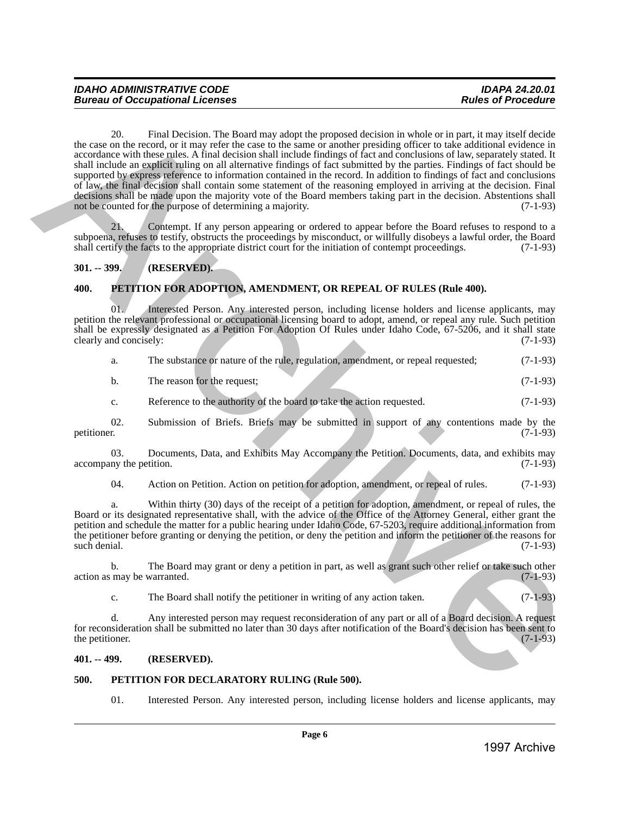20. Final Decision. The Board may adopt the proposed decision in whole or in part, it may itself decide the case on the record, or it may refer the case to the same or another presiding officer to take additional evidence in accordance with these rules. A final decision shall include findings of fact and conclusions of law, separately stated. It shall include an explicit ruling on all alternative findings of fact submitted by the parties. Findings of fact should be supported by express reference to information contained in the record. In addition to findings of fact and conclusions of law, the final decision shall contain some statement of the reasoning employed in arriving at the decision. Final decisions shall be made upon the majority vote of the Board members taking part in the decision. Abstentions shall<br>not be counted for the purpose of determining a majority. (7-1-93) not be counted for the purpose of determining a majority. 10: 20 Charles Control in the bottom specified to the specified in the place in such a method in the specified of the specified of the specified of the specified of the specified of the specified of the specified of the s

21. Contempt. If any person appearing or ordered to appear before the Board refuses to respond to a subpoena, refuses to testify, obstructs the proceedings by misconduct, or willfully disobeys a lawful order, the Board shall certify the facts to the appropriate district court for the initiation of contempt proceedings. ( shall certify the facts to the appropriate district court for the initiation of contempt proceedings.

# <span id="page-5-0"></span>**301. -- 399. (RESERVED).**

# <span id="page-5-1"></span>**400. PETITION FOR ADOPTION, AMENDMENT, OR REPEAL OF RULES (Rule 400).**

01. Interested Person. Any interested person, including license holders and license applicants, may petition the relevant professional or occupational licensing board to adopt, amend, or repeal any rule. Such petition shall be expressly designated as a Petition For Adoption Of Rules under Idaho Code, 67-5206, and it shall state clearly and concisely: (7-1-93) clearly and concisely:

|  |  | The substance or nature of the rule, regulation, amendment, or repeal requested; | $(7-1-93)$ |
|--|--|----------------------------------------------------------------------------------|------------|
|  |  |                                                                                  |            |

| The reason for the request:<br>b. |  |  | $(7-1-93)$ |  |  |  |
|-----------------------------------|--|--|------------|--|--|--|
|-----------------------------------|--|--|------------|--|--|--|

c. Reference to the authority of the board to take the action requested. (7-1-93)

02. Submission of Briefs. Briefs may be submitted in support of any contentions made by the petitioner. (7-1-93) petitioner. (7-1-93)

03. Documents, Data, and Exhibits May Accompany the Petition. Documents, data, and exhibits may accompany the petition. (7-1-93)

04. Action on Petition. Action on petition for adoption, amendment, or repeal of rules. (7-1-93)

a. Within thirty (30) days of the receipt of a petition for adoption, amendment, or repeal of rules, the Board or its designated representative shall, with the advice of the Office of the Attorney General, either grant the petition and schedule the matter for a public hearing under Idaho Code, 67-5203, require additional information from the petitioner before granting or denying the petition, or deny the petition and inform the petitioner of the reasons for such denial. (7-1-93) such denial. (7-1-93)

b. The Board may grant or deny a petition in part, as well as grant such other relief or take such other may be warranted. (7-1-93) action as may be warranted.

c. The Board shall notify the petitioner in writing of any action taken.  $(7-1-93)$ 

d. Any interested person may request reconsideration of any part or all of a Board decision. A request for reconsideration shall be submitted no later than 30 days after notification of the Board's decision has been sent to the petitioner. (7-1-93) the petitioner.

# <span id="page-5-2"></span>**401. -- 499. (RESERVED).**

# <span id="page-5-3"></span>**500. PETITION FOR DECLARATORY RULING (Rule 500).**

01. Interested Person. Any interested person, including license holders and license applicants, may